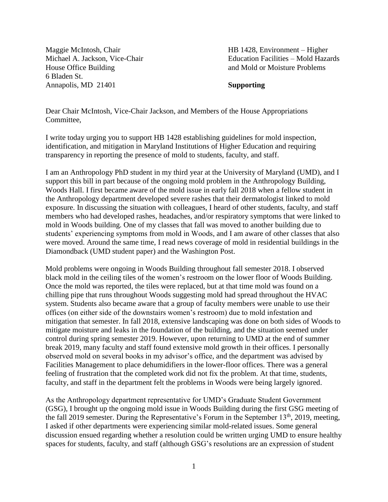Maggie McIntosh, Chair Michael A. Jackson, Vice-Chair House Office Building 6 Bladen St. Annapolis, MD 21401

HB 1428, Environment – Higher Education Facilities – Mold Hazards and Mold or Moisture Problems

**Supporting**

Dear Chair McIntosh, Vice-Chair Jackson, and Members of the House Appropriations Committee,

I write today urging you to support HB 1428 establishing guidelines for mold inspection, identification, and mitigation in Maryland Institutions of Higher Education and requiring transparency in reporting the presence of mold to students, faculty, and staff.

I am an Anthropology PhD student in my third year at the University of Maryland (UMD), and I support this bill in part because of the ongoing mold problem in the Anthropology Building, Woods Hall. I first became aware of the mold issue in early fall 2018 when a fellow student in the Anthropology department developed severe rashes that their dermatologist linked to mold exposure. In discussing the situation with colleagues, I heard of other students, faculty, and staff members who had developed rashes, headaches, and/or respiratory symptoms that were linked to mold in Woods building. One of my classes that fall was moved to another building due to students' experiencing symptoms from mold in Woods, and I am aware of other classes that also were moved. Around the same time, I read news coverage of mold in residential buildings in the Diamondback (UMD student paper) and the Washington Post.

Mold problems were ongoing in Woods Building throughout fall semester 2018. I observed black mold in the ceiling tiles of the women's restroom on the lower floor of Woods Building. Once the mold was reported, the tiles were replaced, but at that time mold was found on a chilling pipe that runs throughout Woods suggesting mold had spread throughout the HVAC system. Students also became aware that a group of faculty members were unable to use their offices (on either side of the downstairs women's restroom) due to mold infestation and mitigation that semester. In fall 2018, extensive landscaping was done on both sides of Woods to mitigate moisture and leaks in the foundation of the building, and the situation seemed under control during spring semester 2019. However, upon returning to UMD at the end of summer break 2019, many faculty and staff found extensive mold growth in their offices. I personally observed mold on several books in my advisor's office, and the department was advised by Facilities Management to place dehumidifiers in the lower-floor offices. There was a general feeling of frustration that the completed work did not fix the problem. At that time, students, faculty, and staff in the department felt the problems in Woods were being largely ignored.

As the Anthropology department representative for UMD's Graduate Student Government (GSG), I brought up the ongoing mold issue in Woods Building during the first GSG meeting of the fall 2019 semester. During the Representative's Forum in the September  $13<sup>th</sup>$ , 2019, meeting, I asked if other departments were experiencing similar mold-related issues. Some general discussion ensued regarding whether a resolution could be written urging UMD to ensure healthy spaces for students, faculty, and staff (although GSG's resolutions are an expression of student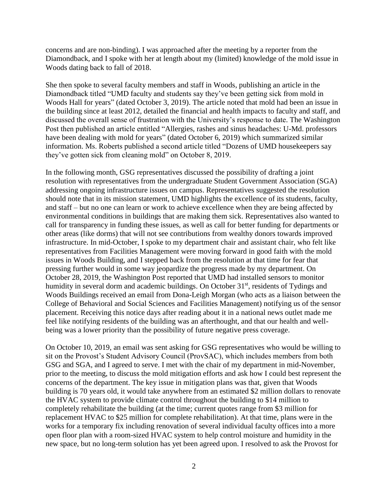concerns and are non-binding). I was approached after the meeting by a reporter from the Diamondback, and I spoke with her at length about my (limited) knowledge of the mold issue in Woods dating back to fall of 2018.

She then spoke to several faculty members and staff in Woods, publishing an article in the Diamondback titled "UMD faculty and students say they've been getting sick from mold in Woods Hall for years" (dated October 3, 2019). The article noted that mold had been an issue in the building since at least 2012, detailed the financial and health impacts to faculty and staff, and discussed the overall sense of frustration with the University's response to date. The Washington Post then published an article entitled "Allergies, rashes and sinus headaches: U-Md. professors have been dealing with mold for years" (dated October 6, 2019) which summarized similar information. Ms. Roberts published a second article titled "Dozens of UMD housekeepers say they've gotten sick from cleaning mold" on October 8, 2019.

In the following month, GSG representatives discussed the possibility of drafting a joint resolution with representatives from the undergraduate Student Government Association (SGA) addressing ongoing infrastructure issues on campus. Representatives suggested the resolution should note that in its mission statement, UMD highlights the excellence of its students, faculty, and staff – but no one can learn or work to achieve excellence when they are being affected by environmental conditions in buildings that are making them sick. Representatives also wanted to call for transparency in funding these issues, as well as call for better funding for departments or other areas (like dorms) that will not see contributions from wealthy donors towards improved infrastructure. In mid-October, I spoke to my department chair and assistant chair, who felt like representatives from Facilities Management were moving forward in good faith with the mold issues in Woods Building, and I stepped back from the resolution at that time for fear that pressing further would in some way jeopardize the progress made by my department. On October 28, 2019, the Washington Post reported that UMD had installed sensors to monitor humidity in several dorm and academic buildings. On October 31<sup>st</sup>, residents of Tydings and Woods Buildings received an email from Dona-Leigh Morgan (who acts as a liaison between the College of Behavioral and Social Sciences and Facilities Management) notifying us of the sensor placement. Receiving this notice days after reading about it in a national news outlet made me feel like notifying residents of the building was an afterthought, and that our health and wellbeing was a lower priority than the possibility of future negative press coverage.

On October 10, 2019, an email was sent asking for GSG representatives who would be willing to sit on the Provost's Student Advisory Council (ProvSAC), which includes members from both GSG and SGA, and I agreed to serve. I met with the chair of my department in mid-November, prior to the meeting, to discuss the mold mitigation efforts and ask how I could best represent the concerns of the department. The key issue in mitigation plans was that, given that Woods building is 70 years old, it would take anywhere from an estimated \$2 million dollars to renovate the HVAC system to provide climate control throughout the building to \$14 million to completely rehabilitate the building (at the time; current quotes range from \$3 million for replacement HVAC to \$25 million for complete rehabilitation). At that time, plans were in the works for a temporary fix including renovation of several individual faculty offices into a more open floor plan with a room-sized HVAC system to help control moisture and humidity in the new space, but no long-term solution has yet been agreed upon. I resolved to ask the Provost for